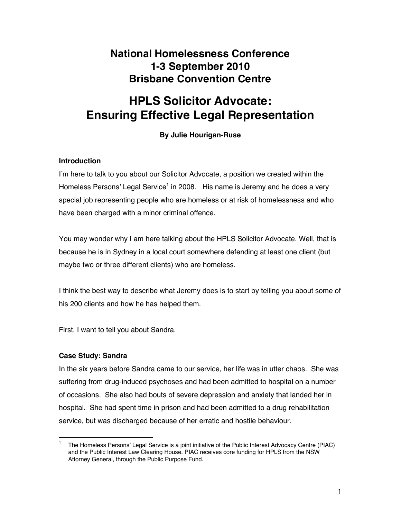# **National Homelessness Conference 1-3 September 2010 Brisbane Convention Centre**

# **HPLS Solicitor Advocate: Ensuring Effective Legal Representation**

# **By Julie Hourigan-Ruse**

## **Introduction**

I'm here to talk to you about our Solicitor Advocate, a position we created within the Homeless Persons' Legal Service<sup>1</sup> in 2008. His name is Jeremy and he does a very special job representing people who are homeless or at risk of homelessness and who have been charged with a minor criminal offence.

You may wonder why I am here talking about the HPLS Solicitor Advocate. Well, that is because he is in Sydney in a local court somewhere defending at least one client (but maybe two or three different clients) who are homeless.

I think the best way to describe what Jeremy does is to start by telling you about some of his 200 clients and how he has helped them.

First, I want to tell you about Sandra.

# **Case Study: Sandra**

In the six years before Sandra came to our service, her life was in utter chaos. She was suffering from drug-induced psychoses and had been admitted to hospital on a number of occasions. She also had bouts of severe depression and anxiety that landed her in hospital. She had spent time in prison and had been admitted to a drug rehabilitation service, but was discharged because of her erratic and hostile behaviour.

<sup>1</sup> The Homeless Persons' Legal Service is a joint initiative of the Public Interest Advocacy Centre (PIAC) and the Public Interest Law Clearing House. PIAC receives core funding for HPLS from the NSW Attorney General, through the Public Purpose Fund.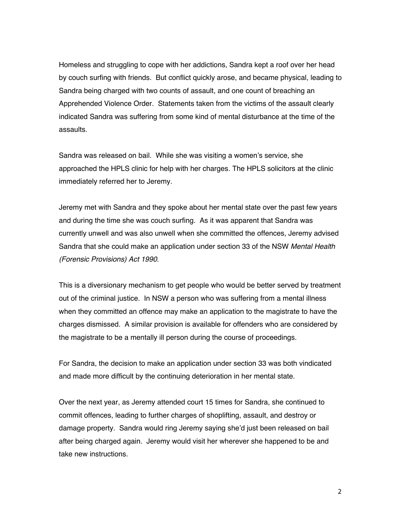Homeless and struggling to cope with her addictions, Sandra kept a roof over her head by couch surfing with friends. But conflict quickly arose, and became physical, leading to Sandra being charged with two counts of assault, and one count of breaching an Apprehended Violence Order. Statements taken from the victims of the assault clearly indicated Sandra was suffering from some kind of mental disturbance at the time of the assaults.

Sandra was released on bail. While she was visiting a women's service, she approached the HPLS clinic for help with her charges. The HPLS solicitors at the clinic immediately referred her to Jeremy.

Jeremy met with Sandra and they spoke about her mental state over the past few years and during the time she was couch surfing. As it was apparent that Sandra was currently unwell and was also unwell when she committed the offences, Jeremy advised Sandra that she could make an application under section 33 of the NSW *Mental Health (Forensic Provisions) Act 1990*.

This is a diversionary mechanism to get people who would be better served by treatment out of the criminal justice. In NSW a person who was suffering from a mental illness when they committed an offence may make an application to the magistrate to have the charges dismissed. A similar provision is available for offenders who are considered by the magistrate to be a mentally ill person during the course of proceedings.

For Sandra, the decision to make an application under section 33 was both vindicated and made more difficult by the continuing deterioration in her mental state.

Over the next year, as Jeremy attended court 15 times for Sandra, she continued to commit offences, leading to further charges of shoplifting, assault, and destroy or damage property. Sandra would ring Jeremy saying she'd just been released on bail after being charged again. Jeremy would visit her wherever she happened to be and take new instructions.

2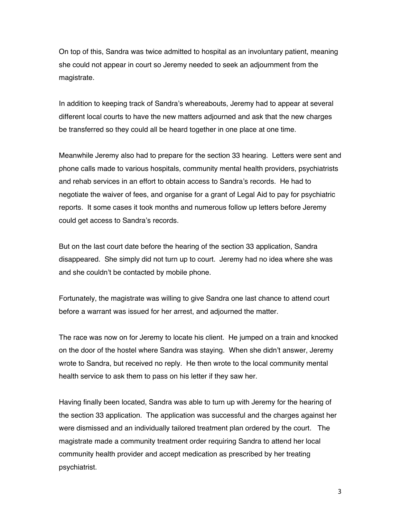On top of this, Sandra was twice admitted to hospital as an involuntary patient, meaning she could not appear in court so Jeremy needed to seek an adjournment from the magistrate.

In addition to keeping track of Sandra's whereabouts, Jeremy had to appear at several different local courts to have the new matters adjourned and ask that the new charges be transferred so they could all be heard together in one place at one time.

Meanwhile Jeremy also had to prepare for the section 33 hearing. Letters were sent and phone calls made to various hospitals, community mental health providers, psychiatrists and rehab services in an effort to obtain access to Sandra's records. He had to negotiate the waiver of fees, and organise for a grant of Legal Aid to pay for psychiatric reports. It some cases it took months and numerous follow up letters before Jeremy could get access to Sandra's records.

But on the last court date before the hearing of the section 33 application, Sandra disappeared. She simply did not turn up to court. Jeremy had no idea where she was and she couldn't be contacted by mobile phone.

Fortunately, the magistrate was willing to give Sandra one last chance to attend court before a warrant was issued for her arrest, and adjourned the matter.

The race was now on for Jeremy to locate his client. He jumped on a train and knocked on the door of the hostel where Sandra was staying. When she didn't answer, Jeremy wrote to Sandra, but received no reply. He then wrote to the local community mental health service to ask them to pass on his letter if they saw her.

Having finally been located, Sandra was able to turn up with Jeremy for the hearing of the section 33 application. The application was successful and the charges against her were dismissed and an individually tailored treatment plan ordered by the court. The magistrate made a community treatment order requiring Sandra to attend her local community health provider and accept medication as prescribed by her treating psychiatrist.

3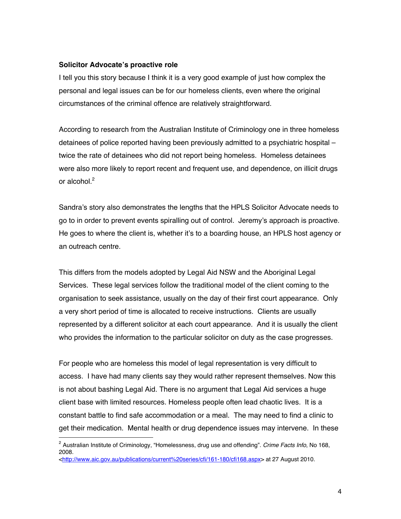#### **Solicitor Advocate's proactive role**

I tell you this story because I think it is a very good example of just how complex the personal and legal issues can be for our homeless clients, even where the original circumstances of the criminal offence are relatively straightforward.

According to research from the Australian Institute of Criminology one in three homeless detainees of police reported having been previously admitted to a psychiatric hospital – twice the rate of detainees who did not report being homeless. Homeless detainees were also more likely to report recent and frequent use, and dependence, on illicit drugs or alcohol.<sup>2</sup>

Sandra's story also demonstrates the lengths that the HPLS Solicitor Advocate needs to go to in order to prevent events spiralling out of control. Jeremy's approach is proactive. He goes to where the client is, whether it's to a boarding house, an HPLS host agency or an outreach centre.

This differs from the models adopted by Legal Aid NSW and the Aboriginal Legal Services. These legal services follow the traditional model of the client coming to the organisation to seek assistance, usually on the day of their first court appearance. Only a very short period of time is allocated to receive instructions. Clients are usually represented by a different solicitor at each court appearance. And it is usually the client who provides the information to the particular solicitor on duty as the case progresses.

For people who are homeless this model of legal representation is very difficult to access. I have had many clients say they would rather represent themselves. Now this is not about bashing Legal Aid. There is no argument that Legal Aid services a huge client base with limited resources. Homeless people often lead chaotic lives. It is a constant battle to find safe accommodation or a meal. The may need to find a clinic to get their medication. Mental health or drug dependence issues may intervene. In these

 $\overline{2}$  Australian Institute of Criminology, "Homelessness, drug use and offending". *Crime Facts Info*, No 168, 2008. <http://www.aic.gov.au/publications/current%20series/cfi/161-180/cfi168.aspx> at 27 August 2010.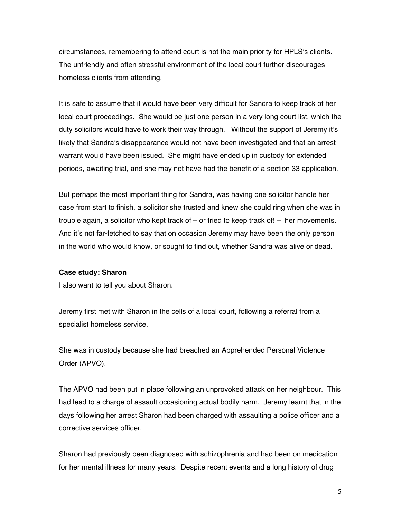circumstances, remembering to attend court is not the main priority for HPLS's clients. The unfriendly and often stressful environment of the local court further discourages homeless clients from attending.

It is safe to assume that it would have been very difficult for Sandra to keep track of her local court proceedings. She would be just one person in a very long court list, which the duty solicitors would have to work their way through. Without the support of Jeremy it's likely that Sandra's disappearance would not have been investigated and that an arrest warrant would have been issued. She might have ended up in custody for extended periods, awaiting trial, and she may not have had the benefit of a section 33 application.

But perhaps the most important thing for Sandra, was having one solicitor handle her case from start to finish, a solicitor she trusted and knew she could ring when she was in trouble again, a solicitor who kept track of – or tried to keep track of! – her movements. And it's not far-fetched to say that on occasion Jeremy may have been the only person in the world who would know, or sought to find out, whether Sandra was alive or dead.

#### **Case study: Sharon**

I also want to tell you about Sharon.

Jeremy first met with Sharon in the cells of a local court, following a referral from a specialist homeless service.

She was in custody because she had breached an Apprehended Personal Violence Order (APVO).

The APVO had been put in place following an unprovoked attack on her neighbour. This had lead to a charge of assault occasioning actual bodily harm. Jeremy learnt that in the days following her arrest Sharon had been charged with assaulting a police officer and a corrective services officer.

Sharon had previously been diagnosed with schizophrenia and had been on medication for her mental illness for many years. Despite recent events and a long history of drug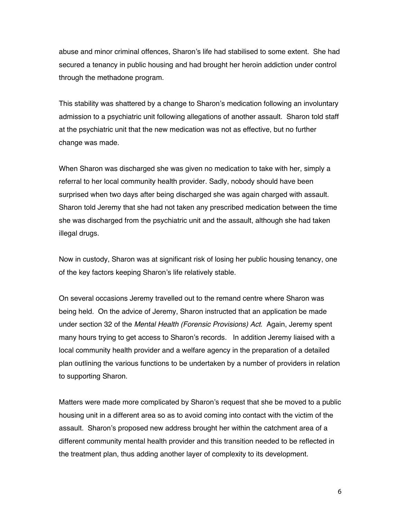abuse and minor criminal offences, Sharon's life had stabilised to some extent. She had secured a tenancy in public housing and had brought her heroin addiction under control through the methadone program.

This stability was shattered by a change to Sharon's medication following an involuntary admission to a psychiatric unit following allegations of another assault. Sharon told staff at the psychiatric unit that the new medication was not as effective, but no further change was made.

When Sharon was discharged she was given no medication to take with her, simply a referral to her local community health provider. Sadly, nobody should have been surprised when two days after being discharged she was again charged with assault. Sharon told Jeremy that she had not taken any prescribed medication between the time she was discharged from the psychiatric unit and the assault, although she had taken illegal drugs.

Now in custody, Sharon was at significant risk of losing her public housing tenancy, one of the key factors keeping Sharon's life relatively stable.

On several occasions Jeremy travelled out to the remand centre where Sharon was being held. On the advice of Jeremy, Sharon instructed that an application be made under section 32 of the *Mental Health (Forensic Provisions) Act*. Again, Jeremy spent many hours trying to get access to Sharon's records. In addition Jeremy liaised with a local community health provider and a welfare agency in the preparation of a detailed plan outlining the various functions to be undertaken by a number of providers in relation to supporting Sharon.

Matters were made more complicated by Sharon's request that she be moved to a public housing unit in a different area so as to avoid coming into contact with the victim of the assault. Sharon's proposed new address brought her within the catchment area of a different community mental health provider and this transition needed to be reflected in the treatment plan, thus adding another layer of complexity to its development.

6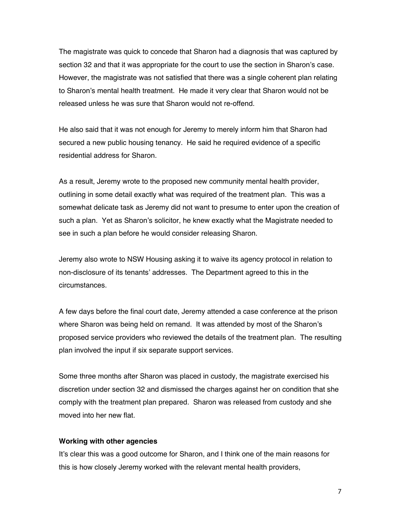The magistrate was quick to concede that Sharon had a diagnosis that was captured by section 32 and that it was appropriate for the court to use the section in Sharon's case. However, the magistrate was not satisfied that there was a single coherent plan relating to Sharon's mental health treatment. He made it very clear that Sharon would not be released unless he was sure that Sharon would not re-offend.

He also said that it was not enough for Jeremy to merely inform him that Sharon had secured a new public housing tenancy. He said he required evidence of a specific residential address for Sharon.

As a result, Jeremy wrote to the proposed new community mental health provider, outlining in some detail exactly what was required of the treatment plan. This was a somewhat delicate task as Jeremy did not want to presume to enter upon the creation of such a plan. Yet as Sharon's solicitor, he knew exactly what the Magistrate needed to see in such a plan before he would consider releasing Sharon.

Jeremy also wrote to NSW Housing asking it to waive its agency protocol in relation to non-disclosure of its tenants' addresses. The Department agreed to this in the circumstances.

A few days before the final court date, Jeremy attended a case conference at the prison where Sharon was being held on remand. It was attended by most of the Sharon's proposed service providers who reviewed the details of the treatment plan. The resulting plan involved the input if six separate support services.

Some three months after Sharon was placed in custody, the magistrate exercised his discretion under section 32 and dismissed the charges against her on condition that she comply with the treatment plan prepared. Sharon was released from custody and she moved into her new flat.

#### **Working with other agencies**

It's clear this was a good outcome for Sharon, and I think one of the main reasons for this is how closely Jeremy worked with the relevant mental health providers,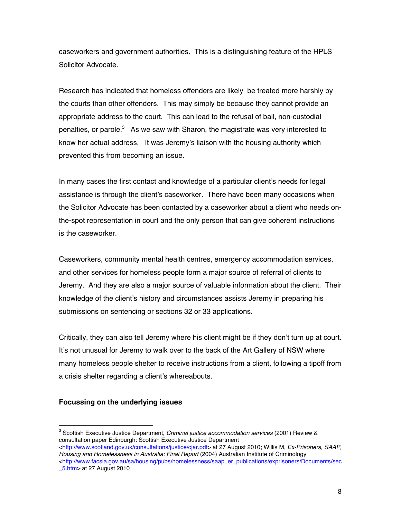caseworkers and government authorities. This is a distinguishing feature of the HPLS Solicitor Advocate.

Research has indicated that homeless offenders are likely be treated more harshly by the courts than other offenders. This may simply be because they cannot provide an appropriate address to the court. This can lead to the refusal of bail, non-custodial penalties, or parole. $3$  As we saw with Sharon, the magistrate was very interested to know her actual address. It was Jeremy's liaison with the housing authority which prevented this from becoming an issue.

In many cases the first contact and knowledge of a particular client's needs for legal assistance is through the client's caseworker. There have been many occasions when the Solicitor Advocate has been contacted by a caseworker about a client who needs onthe-spot representation in court and the only person that can give coherent instructions is the caseworker.

Caseworkers, community mental health centres, emergency accommodation services, and other services for homeless people form a major source of referral of clients to Jeremy. And they are also a major source of valuable information about the client. Their knowledge of the client's history and circumstances assists Jeremy in preparing his submissions on sentencing or sections 32 or 33 applications.

Critically, they can also tell Jeremy where his client might be if they don't turn up at court. It's not unusual for Jeremy to walk over to the back of the Art Gallery of NSW where many homeless people shelter to receive instructions from a client, following a tipoff from a crisis shelter regarding a client's whereabouts.

### **Focussing on the underlying issues**

<sup>-&</sup>lt;br>3 Scottish Executive Justice Department, *Criminal justice accommodation services* (2001) Review & consultation paper Edinburgh: Scottish Executive Justice Department

<sup>&</sup>lt;http://www.scotland.gov.uk/consultations/justice/cjar.pdf> at 27 August 2010; Willis M, *Ex-Prisoners, SAAP, Housing and Homelessness in Australia: Final Report* (2004) Australian Institute of Criminology <http://www.facsia.gov.au/sa/housing/pubs/homelessness/saap\_er\_publications/exprisoners/Documents/sec \_5.htm> at 27 August 2010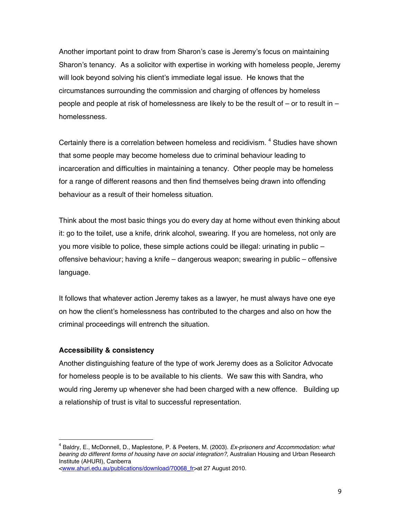Another important point to draw from Sharon's case is Jeremy's focus on maintaining Sharon's tenancy. As a solicitor with expertise in working with homeless people, Jeremy will look beyond solving his client's immediate legal issue. He knows that the circumstances surrounding the commission and charging of offences by homeless people and people at risk of homelessness are likely to be the result of – or to result in – homelessness.

Certainly there is a correlation between homeless and recidivism. <sup>4</sup> Studies have shown that some people may become homeless due to criminal behaviour leading to incarceration and difficulties in maintaining a tenancy. Other people may be homeless for a range of different reasons and then find themselves being drawn into offending behaviour as a result of their homeless situation.

Think about the most basic things you do every day at home without even thinking about it: go to the toilet, use a knife, drink alcohol, swearing. If you are homeless, not only are you more visible to police, these simple actions could be illegal: urinating in public – offensive behaviour; having a knife – dangerous weapon; swearing in public – offensive language.

It follows that whatever action Jeremy takes as a lawyer, he must always have one eye on how the client's homelessness has contributed to the charges and also on how the criminal proceedings will entrench the situation.

#### **Accessibility & consistency**

Another distinguishing feature of the type of work Jeremy does as a Solicitor Advocate for homeless people is to be available to his clients. We saw this with Sandra, who would ring Jeremy up whenever she had been charged with a new offence. Building up a relationship of trust is vital to successful representation.

<sup>4</sup> Baldry, E., McDonnell, D., Maplestone, P. & Peeters, M. (2003). *Ex-prisoners and Accommodation: what bearing do different forms of housing have on social integration?,* Australian Housing and Urban Research Institute (AHURI), Canberra

<sup>&</sup>lt;www.ahuri.edu.au/publications/download/70068\_fr>at 27 August 2010.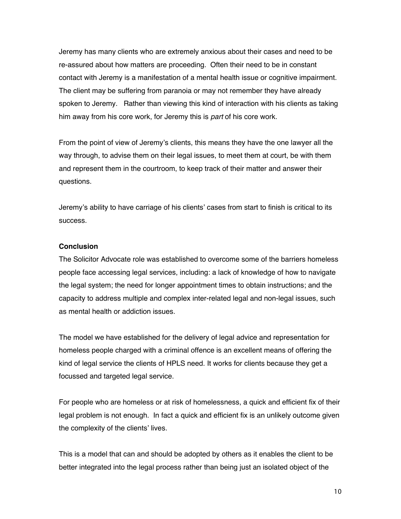Jeremy has many clients who are extremely anxious about their cases and need to be re-assured about how matters are proceeding. Often their need to be in constant contact with Jeremy is a manifestation of a mental health issue or cognitive impairment. The client may be suffering from paranoia or may not remember they have already spoken to Jeremy. Rather than viewing this kind of interaction with his clients as taking him away from his core work, for Jeremy this is *part* of his core work.

From the point of view of Jeremy's clients, this means they have the one lawyer all the way through, to advise them on their legal issues, to meet them at court, be with them and represent them in the courtroom, to keep track of their matter and answer their questions.

Jeremy's ability to have carriage of his clients' cases from start to finish is critical to its success.

#### **Conclusion**

The Solicitor Advocate role was established to overcome some of the barriers homeless people face accessing legal services, including: a lack of knowledge of how to navigate the legal system; the need for longer appointment times to obtain instructions; and the capacity to address multiple and complex inter-related legal and non-legal issues, such as mental health or addiction issues.

The model we have established for the delivery of legal advice and representation for homeless people charged with a criminal offence is an excellent means of offering the kind of legal service the clients of HPLS need. It works for clients because they get a focussed and targeted legal service.

For people who are homeless or at risk of homelessness, a quick and efficient fix of their legal problem is not enough. In fact a quick and efficient fix is an unlikely outcome given the complexity of the clients' lives.

This is a model that can and should be adopted by others as it enables the client to be better integrated into the legal process rather than being just an isolated object of the